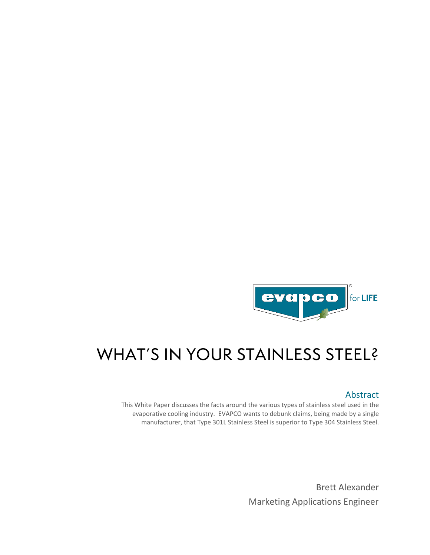

# WHAT'S IN YOUR STAINLESS STEEL?

### Abstract

This White Paper discusses the facts around the various types of stainless steel used in the evaporative cooling industry. EVAPCO wants to debunk claims, being made by a single manufacturer, that Type 301L Stainless Steel is superior to Type 304 Stainless Steel.

> Brett Alexander Marketing Applications Engineer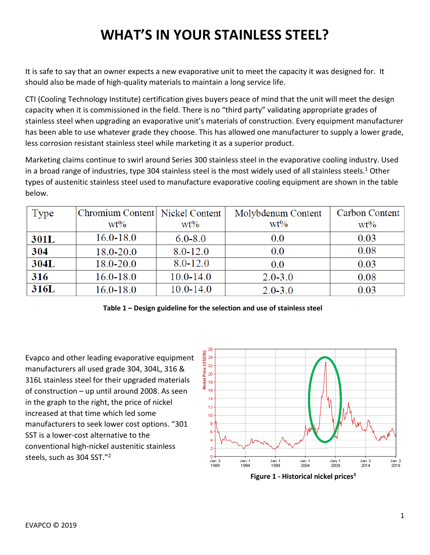## **WHAT'S IN YOUR STAINLESS STEEL?**

It is safe to say that an owner expects a new evaporative unit to meet the capacity it was designed for. It should also be made of high-quality materials to maintain a long service life.

CTI (Cooling Technology Institute) certification gives buyers peace of mind that the unit will meet the design capacity when it is commissioned in the field. There is no "third party" validating appropriate grades of stainless steel when upgrading an evaporative unit's materials of construction. Every equipment manufacturer has been able to use whatever grade they choose. This has allowed one manufacturer to supply a lower grade, less corrosion resistant stainless steel while marketing it as a superior product.

Marketing claims continue to swirl around Series 300 stainless steel in the evaporative cooling industry. Used in a broad range of industries, type 304 stainless steel is the most widely used of all stainless steels.<sup>1</sup> Other types of austenitic stainless steel used to manufacture evaporative cooling equipment are shown in the table below.

| Type | Chromium Content Nickel Content |               | Molybdenum Content | Carbon Content |
|------|---------------------------------|---------------|--------------------|----------------|
|      | $wt\%$                          | $wt\%$        | $wt\%$             | $wt\%$         |
| 301L | $16.0 - 18.0$                   | $6.0 - 8.0$   | 0.0                | 0.03           |
| 304  | $18.0 - 20.0$                   | $8.0 - 12.0$  | 0.0                | 0.08           |
| 304L | $18.0 - 20.0$                   | $8.0 - 12.0$  | 0.0                | 0.03           |
| 316  | $16.0 - 18.0$                   | $10.0 - 14.0$ | $2.0 - 3.0$        | 0.08           |
| 316L | $16.0 - 18.0$                   | $10.0 - 14.0$ | $2.0 - 3.0$        | 0.03           |

**Table 1 – Design guideline for the selection and use of stainless steel**

Evapco and other leading evaporative equipment manufacturers all used grade 304, 304L, 316 & 316L stainless steel for their upgraded materials of construction – up until around 2008. As seen in the graph to the right, the price of nickel increased at that time which led some manufacturers to seek lower cost options. "301 SST is a lower-cost alternative to the conventional high-nickel austenitic stainless steels, such as 304 SST."2

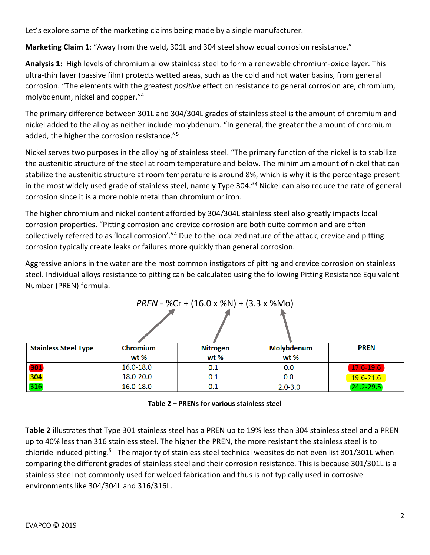Let's explore some of the marketing claims being made by a single manufacturer.

**Marketing Claim 1**: "Away from the weld, 301L and 304 steel show equal corrosion resistance."

**Analysis 1:** High levels of chromium allow stainless steel to form a renewable chromium-oxide layer. This ultra-thin layer (passive film) protects wetted areas, such as the cold and hot water basins, from general corrosion. "The elements with the greatest *positive* effect on resistance to general corrosion are; chromium, molybdenum, nickel and copper."4

The primary difference between 301L and 304/304L grades of stainless steel is the amount of chromium and nickel added to the alloy as neither include molybdenum. "In general, the greater the amount of chromium added, the higher the corrosion resistance."5

Nickel serves two purposes in the alloying of stainless steel. "The primary function of the nickel is to stabilize the austenitic structure of the steel at room temperature and below. The minimum amount of nickel that can stabilize the austenitic structure at room temperature is around 8%, which is why it is the percentage present in the most widely used grade of stainless steel, namely Type 304."4 Nickel can also reduce the rate of general corrosion since it is a more noble metal than chromium or iron.

The higher chromium and nickel content afforded by 304/304L stainless steel also greatly impacts local corrosion properties. "Pitting corrosion and crevice corrosion are both quite common and are often collectively referred to as 'local corrosion'."4 Due to the localized nature of the attack, crevice and pitting corrosion typically create leaks or failures more quickly than general corrosion.

Aggressive anions in the water are the most common instigators of pitting and crevice corrosion on stainless steel. Individual alloys resistance to pitting can be calculated using the following Pitting Resistance Equivalent Number (PREN) formula.

| $PREN = %Cr + (16.0 × %N) + (3.3 × %Mo)$ |                 |          |             |               |  |  |  |
|------------------------------------------|-----------------|----------|-------------|---------------|--|--|--|
|                                          |                 |          |             |               |  |  |  |
|                                          |                 |          |             |               |  |  |  |
|                                          |                 |          |             |               |  |  |  |
| <b>Stainless Steel Type</b>              | <b>Chromium</b> | Nitrogen | Molybdenum  | <b>PREN</b>   |  |  |  |
|                                          | wt $%$          | $wt$ %   | wt $%$      |               |  |  |  |
| 301                                      | $16.0 - 18.0$   | 0.1      | 0.0         | 17.6-19.6     |  |  |  |
| 304                                      | 18.0-20.0       | 0.1      | 0.0         | $19.6 - 21.6$ |  |  |  |
| 316                                      | 16.0-18.0       | 0.1      | $2.0 - 3.0$ | $24.2 - 29.5$ |  |  |  |

| Table 2 - PRENs for various stainless steel |  |  |  |
|---------------------------------------------|--|--|--|
|---------------------------------------------|--|--|--|

**Table 2** illustrates that Type 301 stainless steel has a PREN up to 19% less than 304 stainless steel and a PREN up to 40% less than 316 stainless steel. The higher the PREN, the more resistant the stainless steel is to chloride induced pitting.5 The majority of stainless steel technical websites do not even list 301/301L when comparing the different grades of stainless steel and their corrosion resistance. This is because 301/301L is a stainless steel not commonly used for welded fabrication and thus is not typically used in corrosive environments like 304/304L and 316/316L.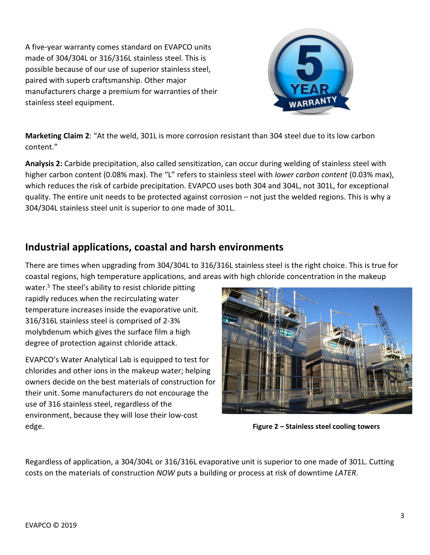A five-year warranty comes standard on EVAPCO units made of 304/304L or 316/316L stainless steel. This is possible because of our use of superior stainless steel, paired with superb craftsmanship. Other major manufacturers charge a premium for warranties of their stainless steel equipment.



**Marketing Claim 2**: "At the weld, 301L is more corrosion resistant than 304 steel due to its low carbon content."

**Analysis 2:** Carbide precipitation, also called sensitization, can occur during welding of stainless steel with higher carbon content (0.08% max). The "L" refers to stainless steel with *lower carbon content* (0.03% max), which reduces the risk of carbide precipitation. EVAPCO uses both 304 and 304L, not 301L, for exceptional quality. The entire unit needs to be protected against corrosion – not just the welded regions. This is why a 304/304L stainless steel unit is superior to one made of 301L.

### **Industrial applications, coastal and harsh environments**

There are times when upgrading from 304/304L to 316/316L stainless steel is the right choice. This is true for coastal regions, high temperature applications, and areas with high chloride concentration in the makeup

water.<sup>5</sup> The steel's ability to resist chloride pitting rapidly reduces when the recirculating water temperature increases inside the evaporative unit. 316/316L stainless steel is comprised of 2-3% molybdenum which gives the surface film a high degree of protection against chloride attack.

EVAPCO's Water Analytical Lab is equipped to test for chlorides and other ions in the makeup water; helping owners decide on the best materials of construction for their unit. Some manufacturers do not encourage the use of 316 stainless steel, regardless of the environment, because they will lose their low-cost edge. **Figure 2 – Stainless steel cooling towers**



Regardless of application, a 304/304L or 316/316L evaporative unit is superior to one made of 301L. Cutting costs on the materials of construction *NOW* puts a building or process at risk of downtime *LATER*.